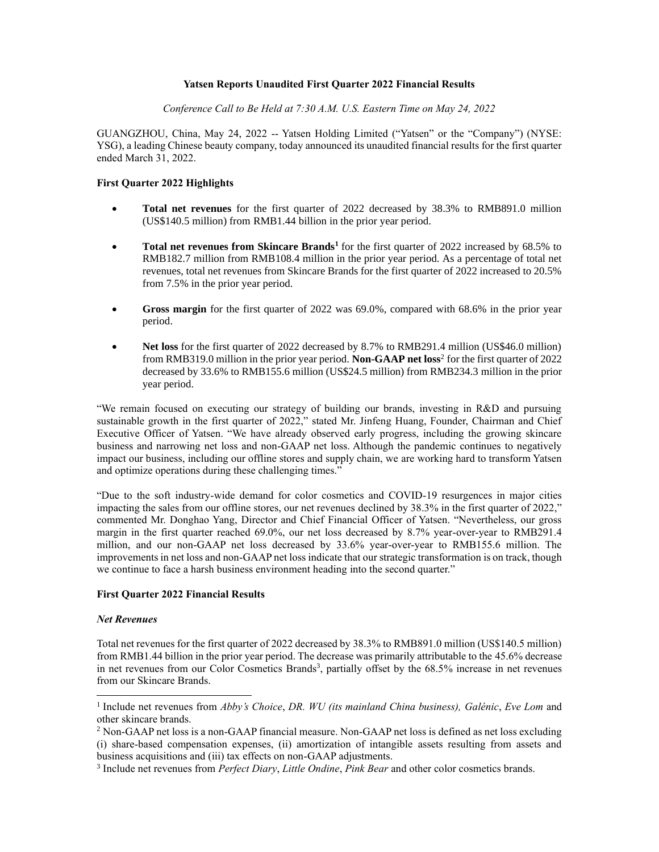### **Yatsen Reports Unaudited First Quarter 2022 Financial Results**

*Conference Call to Be Held at 7:30 A.M. U.S. Eastern Time on May 24, 2022*

GUANGZHOU, China, May 24, 2022 -- Yatsen Holding Limited ("Yatsen" or the "Company") (NYSE: YSG), a leading Chinese beauty company, today announced its unaudited financial results for the first quarter ended March 31, 2022.

## **First Quarter 2022 Highlights**

- **Total net revenues** for the first quarter of 2022 decreased by 38.3% to RMB891.0 million (US\$140.5 million) from RMB1.44 billion in the prior year period.
- **Total net revenues from Skincare Brands<sup>1</sup>** for the first quarter of 2022 increased by 68.5% to RMB182.7 million from RMB108.4 million in the prior year period. As a percentage of total net revenues, total net revenues from Skincare Brands for the first quarter of 2022 increased to 20.5% from 7.5% in the prior year period.
- **Gross margin** for the first quarter of 2022 was 69.0%, compared with 68.6% in the prior year period.
- **Net loss** for the first quarter of 2022 decreased by 8.7% to RMB291.4 million (US\$46.0 million) from RMB319.0 million in the prior year period. **Non-GAAP net loss**<sup>2</sup> for the first quarter of 2022 decreased by 33.6% to RMB155.6 million (US\$24.5 million) from RMB234.3 million in the prior year period.

"We remain focused on executing our strategy of building our brands, investing in R&D and pursuing sustainable growth in the first quarter of 2022," stated Mr. Jinfeng Huang, Founder, Chairman and Chief Executive Officer of Yatsen. "We have already observed early progress, including the growing skincare business and narrowing net loss and non-GAAP net loss. Although the pandemic continues to negatively impact our business, including our offline stores and supply chain, we are working hard to transform Yatsen and optimize operations during these challenging times."

"Due to the soft industry-wide demand for color cosmetics and COVID-19 resurgences in major cities impacting the sales from our offline stores, our net revenues declined by 38.3% in the first quarter of 2022," commented Mr. Donghao Yang, Director and Chief Financial Officer of Yatsen. "Nevertheless, our gross margin in the first quarter reached 69.0%, our net loss decreased by 8.7% year-over-year to RMB291.4 million, and our non-GAAP net loss decreased by 33.6% year-over-year to RMB155.6 million. The improvements in net loss and non-GAAP net loss indicate that our strategic transformation is on track, though we continue to face a harsh business environment heading into the second quarter."

## **First Quarter 2022 Financial Results**

#### *Net Revenues*

Total net revenues for the first quarter of 2022 decreased by 38.3% to RMB891.0 million (US\$140.5 million) from RMB1.44 billion in the prior year period. The decrease was primarily attributable to the 45.6% decrease in net revenues from our Color Cosmetics Brands<sup>3</sup>, partially offset by the 68.5% increase in net revenues from our Skincare Brands.

<sup>1</sup> Include net revenues from *Abby's Choice*, *DR. WU (its mainland China business), Galénic*, *Eve Lom* and other skincare brands.

<sup>&</sup>lt;sup>2</sup> Non-GAAP net loss is a non-GAAP financial measure. Non-GAAP net loss is defined as net loss excluding (i) share-based compensation expenses, (ii) amortization of intangible assets resulting from assets and business acquisitions and (iii) tax effects on non-GAAP adjustments.

<sup>3</sup> Include net revenues from *Perfect Diary*, *Little Ondine*, *Pink Bear* and other color cosmetics brands.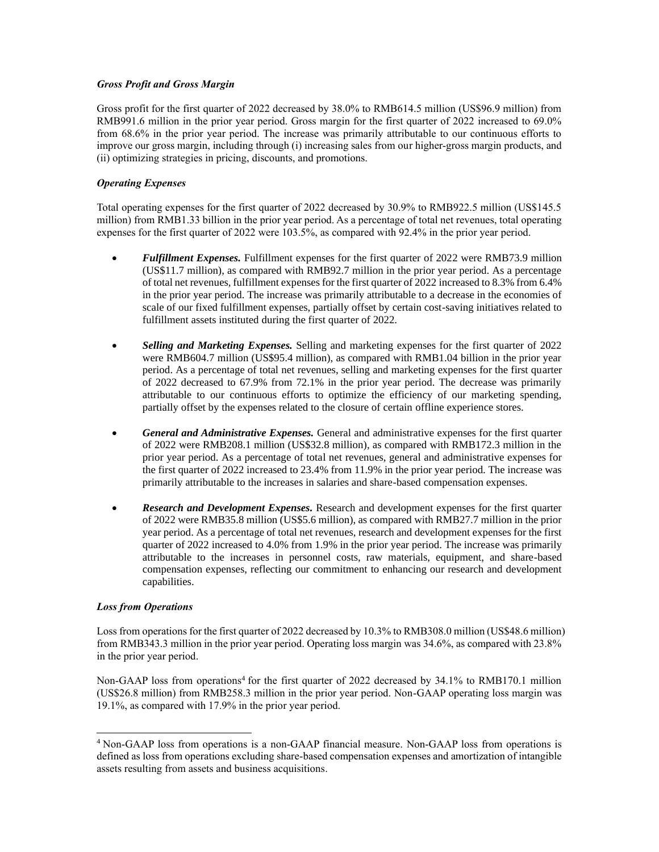## *Gross Profit and Gross Margin*

Gross profit for the first quarter of 2022 decreased by 38.0% to RMB614.5 million (US\$96.9 million) from RMB991.6 million in the prior year period. Gross margin for the first quarter of 2022 increased to 69.0% from 68.6% in the prior year period. The increase was primarily attributable to our continuous efforts to improve our gross margin, including through (i) increasing sales from our higher-gross margin products, and (ii) optimizing strategies in pricing, discounts, and promotions.

## *Operating Expenses*

Total operating expenses for the first quarter of 2022 decreased by 30.9% to RMB922.5 million (US\$145.5 million) from RMB1.33 billion in the prior year period. As a percentage of total net revenues, total operating expenses for the first quarter of 2022 were 103.5%, as compared with 92.4% in the prior year period.

- *Fulfillment Expenses.* Fulfillment expenses for the first quarter of 2022 were RMB73.9 million (US\$11.7 million), as compared with RMB92.7 million in the prior year period. As a percentage of total net revenues, fulfillment expenses for the first quarter of 2022 increased to 8.3% from 6.4% in the prior year period. The increase was primarily attributable to a decrease in the economies of scale of our fixed fulfillment expenses, partially offset by certain cost-saving initiatives related to fulfillment assets instituted during the first quarter of 2022.
- *Selling and Marketing Expenses.* Selling and marketing expenses for the first quarter of 2022 were RMB604.7 million (US\$95.4 million), as compared with RMB1.04 billion in the prior year period. As a percentage of total net revenues, selling and marketing expenses for the first quarter of 2022 decreased to 67.9% from 72.1% in the prior year period. The decrease was primarily attributable to our continuous efforts to optimize the efficiency of our marketing spending, partially offset by the expenses related to the closure of certain offline experience stores.
- *General and Administrative Expenses.* General and administrative expenses for the first quarter of 2022 were RMB208.1 million (US\$32.8 million), as compared with RMB172.3 million in the prior year period. As a percentage of total net revenues, general and administrative expenses for the first quarter of 2022 increased to 23.4% from 11.9% in the prior year period. The increase was primarily attributable to the increases in salaries and share-based compensation expenses.
- *Research and Development Expenses.* Research and development expenses for the first quarter of 2022 were RMB35.8 million (US\$5.6 million), as compared with RMB27.7 million in the prior year period. As a percentage of total net revenues, research and development expenses for the first quarter of 2022 increased to 4.0% from 1.9% in the prior year period. The increase was primarily attributable to the increases in personnel costs, raw materials, equipment, and share-based compensation expenses, reflecting our commitment to enhancing our research and development capabilities.

#### *Loss from Operations*

Loss from operations for the first quarter of 2022 decreased by 10.3% to RMB308.0 million (US\$48.6 million) from RMB343.3 million in the prior year period. Operating loss margin was 34.6%, as compared with 23.8% in the prior year period.

Non-GAAP loss from operations<sup>4</sup> for the first quarter of 2022 decreased by 34.1% to RMB170.1 million (US\$26.8 million) from RMB258.3 million in the prior year period. Non-GAAP operating loss margin was 19.1%, as compared with 17.9% in the prior year period.

<sup>4</sup> Non-GAAP loss from operations is a non-GAAP financial measure. Non-GAAP loss from operations is defined as loss from operations excluding share-based compensation expenses and amortization of intangible assets resulting from assets and business acquisitions.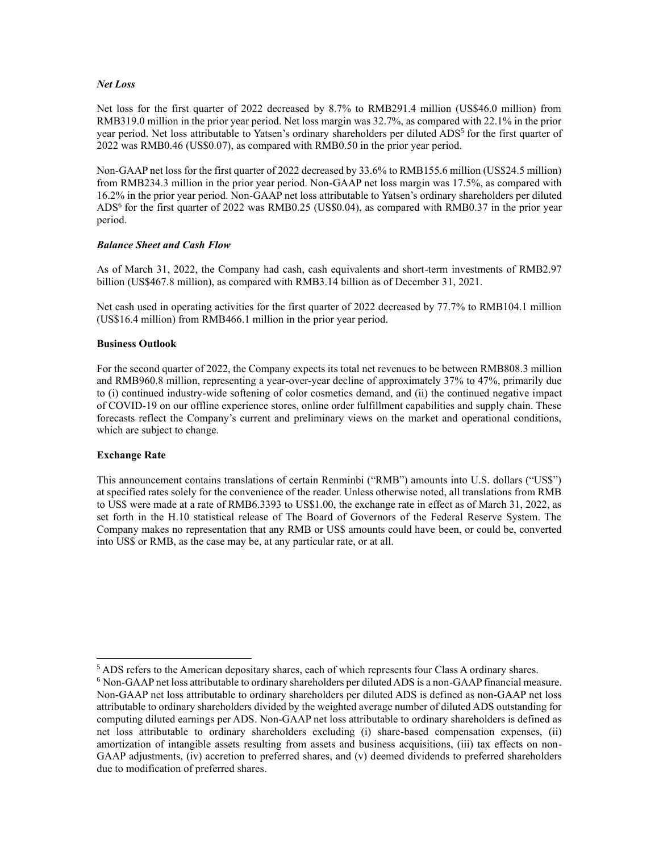### *Net Loss*

Net loss for the first quarter of 2022 decreased by 8.7% to RMB291.4 million (US\$46.0 million) from RMB319.0 million in the prior year period. Net loss margin was 32.7%, as compared with 22.1% in the prior year period. Net loss attributable to Yatsen's ordinary shareholders per diluted ADS<sup>5</sup> for the first quarter of 2022 was RMB0.46 (US\$0.07), as compared with RMB0.50 in the prior year period.

Non-GAAP net loss for the first quarter of 2022 decreased by 33.6% to RMB155.6 million (US\$24.5 million) from RMB234.3 million in the prior year period. Non-GAAP net loss margin was 17.5%, as compared with 16.2% in the prior year period. Non-GAAP net loss attributable to Yatsen's ordinary shareholders per diluted ADS<sup>6</sup> for the first quarter of 2022 was RMB0.25 (US\$0.04), as compared with RMB0.37 in the prior year period.

### *Balance Sheet and Cash Flow*

As of March 31, 2022, the Company had cash, cash equivalents and short-term investments of RMB2.97 billion (US\$467.8 million), as compared with RMB3.14 billion as of December 31, 2021.

Net cash used in operating activities for the first quarter of 2022 decreased by 77.7% to RMB104.1 million (US\$16.4 million) from RMB466.1 million in the prior year period.

### **Business Outlook**

For the second quarter of 2022, the Company expects its total net revenues to be between RMB808.3 million and RMB960.8 million, representing a year-over-year decline of approximately 37% to 47%, primarily due to (i) continued industry-wide softening of color cosmetics demand, and (ii) the continued negative impact of COVID-19 on our offline experience stores, online order fulfillment capabilities and supply chain. These forecasts reflect the Company's current and preliminary views on the market and operational conditions, which are subject to change.

## **Exchange Rate**

This announcement contains translations of certain Renminbi ("RMB") amounts into U.S. dollars ("US\$") at specified rates solely for the convenience of the reader. Unless otherwise noted, all translations from RMB to US\$ were made at a rate of RMB6.3393 to US\$1.00, the exchange rate in effect as of March 31, 2022, as set forth in the H.10 statistical release of The Board of Governors of the Federal Reserve System. The Company makes no representation that any RMB or US\$ amounts could have been, or could be, converted into US\$ or RMB, as the case may be, at any particular rate, or at all.

 $<sup>5</sup>$  ADS refers to the American depositary shares, each of which represents four Class A ordinary shares.</sup>

<sup>6</sup> Non-GAAP net loss attributable to ordinary shareholders per diluted ADS is a non-GAAP financial measure. Non-GAAP net loss attributable to ordinary shareholders per diluted ADS is defined as non-GAAP net loss attributable to ordinary shareholders divided by the weighted average number of diluted ADS outstanding for computing diluted earnings per ADS. Non-GAAP net loss attributable to ordinary shareholders is defined as net loss attributable to ordinary shareholders excluding (i) share-based compensation expenses, (ii) amortization of intangible assets resulting from assets and business acquisitions, (iii) tax effects on non-GAAP adjustments, (iv) accretion to preferred shares, and (v) deemed dividends to preferred shareholders due to modification of preferred shares.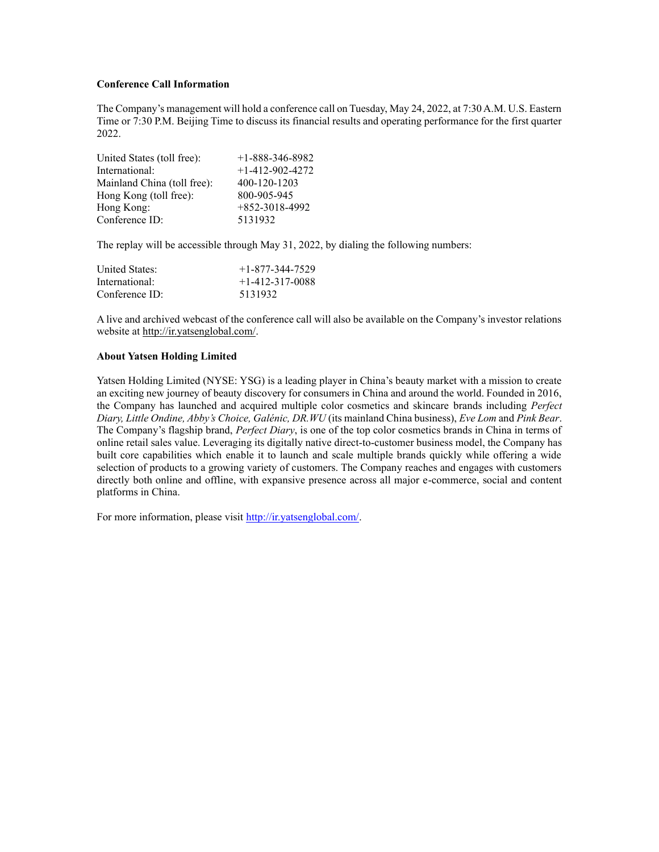### **Conference Call Information**

The Company's management will hold a conference call on Tuesday, May 24, 2022, at 7:30 A.M. U.S. Eastern Time or 7:30 P.M. Beijing Time to discuss its financial results and operating performance for the first quarter 2022.

| United States (toll free):  | $+1 - 888 - 346 - 8982$ |
|-----------------------------|-------------------------|
| International:              | $+1 - 412 - 902 - 4272$ |
| Mainland China (toll free): | 400-120-1203            |
| Hong Kong (toll free):      | 800-905-945             |
| Hong Kong:                  | $+852-3018-4992$        |
| Conference ID:              | 5131932                 |

The replay will be accessible through May 31, 2022, by dialing the following numbers:

| United States:   | $+1 - 877 - 344 - 7529$ |
|------------------|-------------------------|
| International:   | $+1 - 412 - 317 - 0088$ |
| $Conference$ ID: | 5131932                 |

A live and archived webcast of the conference call will also be available on the Company's investor relations website a[t http://ir.yatsenglobal.com/.](http://ir.yatsenglobal.com/)

### **About Yatsen Holding Limited**

Yatsen Holding Limited (NYSE: YSG) is a leading player in China's beauty market with a mission to create an exciting new journey of beauty discovery for consumers in China and around the world. Founded in 2016, the Company has launched and acquired multiple color cosmetics and skincare brands including *Perfect Diary, Little Ondine, Abby's Choice, Galénic, DR.WU* (its mainland China business), *Eve Lom* and *Pink Bear*. The Company's flagship brand, *Perfect Diary*, is one of the top color cosmetics brands in China in terms of online retail sales value. Leveraging its digitally native direct-to-customer business model, the Company has built core capabilities which enable it to launch and scale multiple brands quickly while offering a wide selection of products to a growing variety of customers. The Company reaches and engages with customers directly both online and offline, with expansive presence across all major e-commerce, social and content platforms in China.

For more information, please visi[t http://ir.yatsenglobal.com/.](http://ir.yatsenglobal.com/)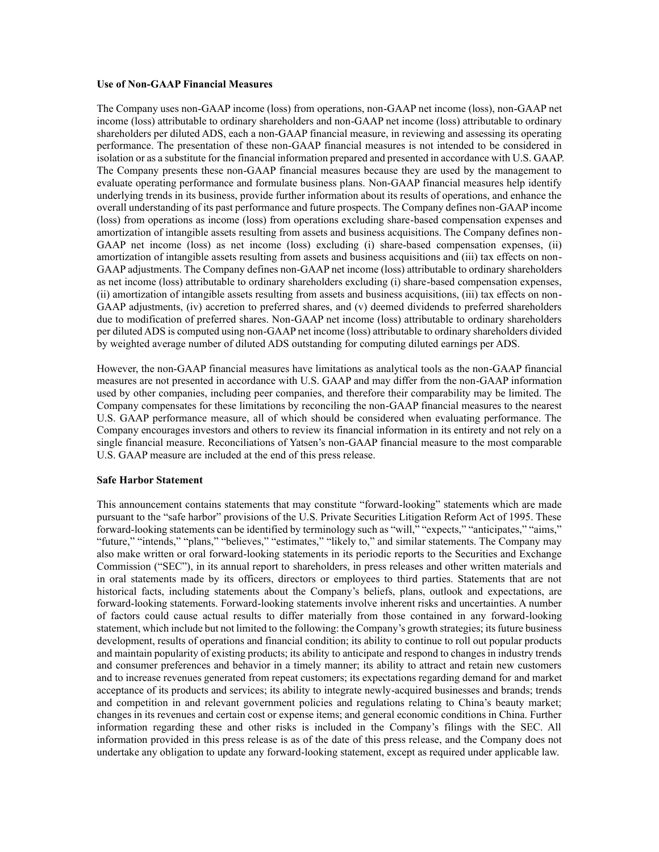### **Use of Non-GAAP Financial Measures**

The Company uses non-GAAP income (loss) from operations, non-GAAP net income (loss), non-GAAP net income (loss) attributable to ordinary shareholders and non-GAAP net income (loss) attributable to ordinary shareholders per diluted ADS, each a non-GAAP financial measure, in reviewing and assessing its operating performance. The presentation of these non-GAAP financial measures is not intended to be considered in isolation or as a substitute for the financial information prepared and presented in accordance with U.S. GAAP. The Company presents these non-GAAP financial measures because they are used by the management to evaluate operating performance and formulate business plans. Non-GAAP financial measures help identify underlying trends in its business, provide further information about its results of operations, and enhance the overall understanding of its past performance and future prospects. The Company defines non-GAAP income (loss) from operations as income (loss) from operations excluding share-based compensation expenses and amortization of intangible assets resulting from assets and business acquisitions. The Company defines non-GAAP net income (loss) as net income (loss) excluding (i) share-based compensation expenses, (ii) amortization of intangible assets resulting from assets and business acquisitions and (iii) tax effects on non-GAAP adjustments. The Company defines non-GAAP net income (loss) attributable to ordinary shareholders as net income (loss) attributable to ordinary shareholders excluding (i) share-based compensation expenses, (ii) amortization of intangible assets resulting from assets and business acquisitions, (iii) tax effects on non-GAAP adjustments, (iv) accretion to preferred shares, and (v) deemed dividends to preferred shareholders due to modification of preferred shares. Non-GAAP net income (loss) attributable to ordinary shareholders per diluted ADS is computed using non-GAAP net income (loss) attributable to ordinary shareholders divided by weighted average number of diluted ADS outstanding for computing diluted earnings per ADS.

However, the non-GAAP financial measures have limitations as analytical tools as the non-GAAP financial measures are not presented in accordance with U.S. GAAP and may differ from the non-GAAP information used by other companies, including peer companies, and therefore their comparability may be limited. The Company compensates for these limitations by reconciling the non-GAAP financial measures to the nearest U.S. GAAP performance measure, all of which should be considered when evaluating performance. The Company encourages investors and others to review its financial information in its entirety and not rely on a single financial measure. Reconciliations of Yatsen's non-GAAP financial measure to the most comparable U.S. GAAP measure are included at the end of this press release.

#### **Safe Harbor Statement**

This announcement contains statements that may constitute "forward-looking" statements which are made pursuant to the "safe harbor" provisions of the U.S. Private Securities Litigation Reform Act of 1995. These forward-looking statements can be identified by terminology such as "will," "expects," "anticipates," "aims," "future," "intends," "plans," "believes," "estimates," "likely to," and similar statements. The Company may also make written or oral forward-looking statements in its periodic reports to the Securities and Exchange Commission ("SEC"), in its annual report to shareholders, in press releases and other written materials and in oral statements made by its officers, directors or employees to third parties. Statements that are not historical facts, including statements about the Company's beliefs, plans, outlook and expectations, are forward-looking statements. Forward-looking statements involve inherent risks and uncertainties. A number of factors could cause actual results to differ materially from those contained in any forward-looking statement, which include but not limited to the following: the Company's growth strategies; its future business development, results of operations and financial condition; its ability to continue to roll out popular products and maintain popularity of existing products; its ability to anticipate and respond to changes in industry trends and consumer preferences and behavior in a timely manner; its ability to attract and retain new customers and to increase revenues generated from repeat customers; its expectations regarding demand for and market acceptance of its products and services; its ability to integrate newly-acquired businesses and brands; trends and competition in and relevant government policies and regulations relating to China's beauty market; changes in its revenues and certain cost or expense items; and general economic conditions in China. Further information regarding these and other risks is included in the Company's filings with the SEC. All information provided in this press release is as of the date of this press release, and the Company does not undertake any obligation to update any forward-looking statement, except as required under applicable law.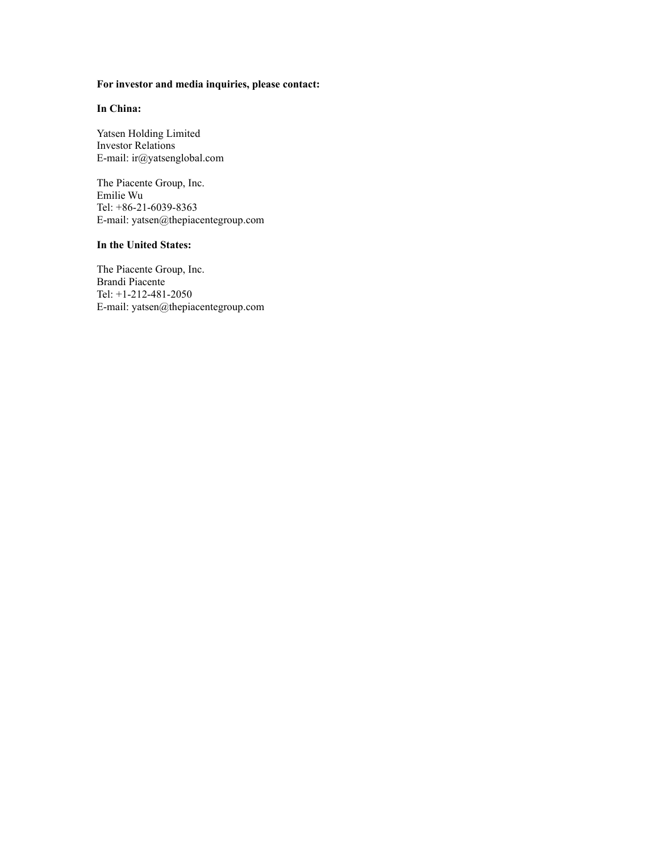## **For investor and media inquiries, please contact:**

## **In China:**

Yatsen Holding Limited Investor Relations E-mail: ir@yatsenglobal.com

The Piacente Group, Inc. Emilie Wu Tel: +86-21-6039-8363 E-mail: yatsen@thepiacentegroup.com

## **In the United States:**

The Piacente Group, Inc. Brandi Piacente Tel: +1-212-481-2050 E-mail: yatsen@thepiacentegroup.com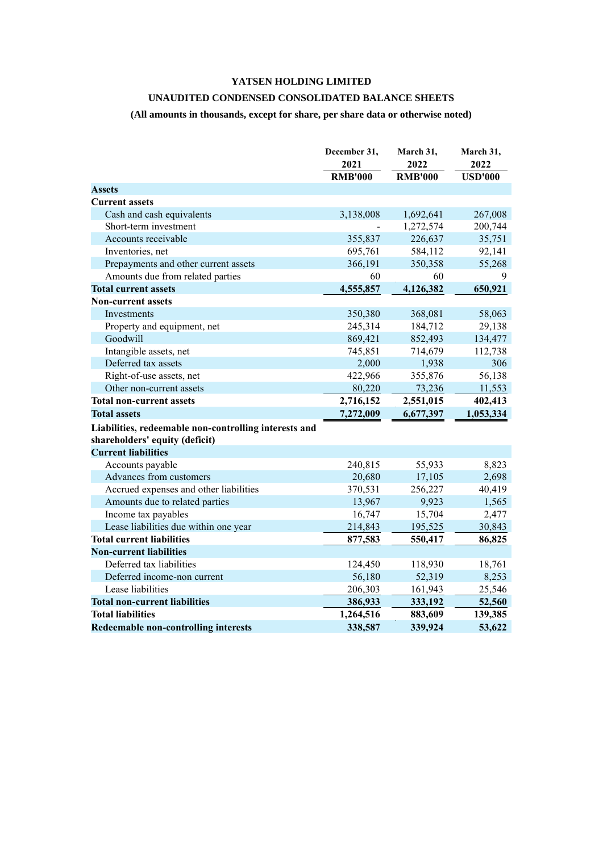# **YATSEN HOLDING LIMITED**

# **UNAUDITED CONDENSED CONSOLIDATED BALANCE SHEETS**

# **(All amounts in thousands, except for share, per share data or otherwise noted)**

|                                                                                         | December 31,   | March 31,      | March 31,      |
|-----------------------------------------------------------------------------------------|----------------|----------------|----------------|
|                                                                                         | 2021           | 2022           | 2022           |
|                                                                                         | <b>RMB'000</b> | <b>RMB'000</b> | <b>USD'000</b> |
| <b>Assets</b>                                                                           |                |                |                |
| <b>Current assets</b>                                                                   |                |                |                |
| Cash and cash equivalents                                                               | 3,138,008      | 1,692,641      | 267,008        |
| Short-term investment                                                                   |                | 1,272,574      | 200,744        |
| Accounts receivable                                                                     | 355,837        | 226,637        | 35,751         |
| Inventories, net                                                                        | 695,761        | 584,112        | 92,141         |
| Prepayments and other current assets                                                    | 366,191        | 350,358        | 55,268         |
| Amounts due from related parties                                                        | 60             | 60             | 9              |
| <b>Total current assets</b>                                                             | 4,555,857      | 4,126,382      | 650,921        |
| <b>Non-current assets</b>                                                               |                |                |                |
| Investments                                                                             | 350,380        | 368,081        | 58,063         |
| Property and equipment, net                                                             | 245,314        | 184,712        | 29,138         |
| Goodwill                                                                                | 869,421        | 852,493        | 134,477        |
| Intangible assets, net                                                                  | 745,851        | 714,679        | 112,738        |
| Deferred tax assets                                                                     | 2,000          | 1,938          | 306            |
| Right-of-use assets, net                                                                | 422,966        | 355,876        | 56,138         |
| Other non-current assets                                                                | 80,220         | 73,236         | 11,553         |
| <b>Total non-current assets</b>                                                         | 2,716,152      | 2,551,015      | 402,413        |
| <b>Total assets</b>                                                                     | 7,272,009      | 6,677,397      | 1,053,334      |
| Liabilities, redeemable non-controlling interests and<br>shareholders' equity (deficit) |                |                |                |
| <b>Current liabilities</b>                                                              |                |                |                |
| Accounts payable                                                                        | 240,815        | 55,933         | 8,823          |
| Advances from customers                                                                 | 20,680         | 17,105         | 2,698          |
| Accrued expenses and other liabilities                                                  | 370,531        | 256,227        | 40,419         |
| Amounts due to related parties                                                          | 13,967         | 9,923          | 1,565          |
| Income tax payables                                                                     | 16,747         | 15,704         | 2,477          |
| Lease liabilities due within one year                                                   | 214,843        | 195,525        | 30,843         |
| <b>Total current liabilities</b>                                                        | 877,583        | 550,417        | 86,825         |
| <b>Non-current liabilities</b>                                                          |                |                |                |
| Deferred tax liabilities                                                                | 124,450        | 118,930        | 18,761         |
| Deferred income-non current                                                             | 56,180         | 52,319         | 8,253          |
| Lease liabilities                                                                       | 206,303        | 161,943        | 25,546         |
| <b>Total non-current liabilities</b>                                                    | 386,933        | 333,192        | 52,560         |
| <b>Total liabilities</b>                                                                | 1,264,516      | 883,609        | 139,385        |
| <b>Redeemable non-controlling interests</b>                                             | 338,587        | 339,924        | 53,622         |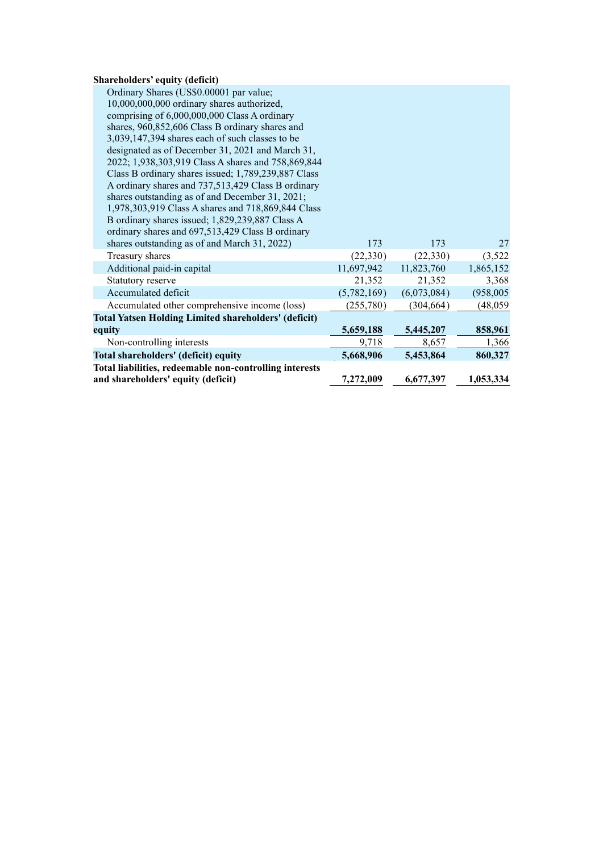## **Shareholders' equity (deficit)**

| Ordinary Shares (US\$0.00001 par value;                     |             |             |            |
|-------------------------------------------------------------|-------------|-------------|------------|
| 10,000,000,000 ordinary shares authorized,                  |             |             |            |
| comprising of 6,000,000,000 Class A ordinary                |             |             |            |
| shares, 960,852,606 Class B ordinary shares and             |             |             |            |
| 3,039,147,394 shares each of such classes to be             |             |             |            |
| designated as of December 31, 2021 and March 31,            |             |             |            |
| 2022; 1,938,303,919 Class A shares and 758,869,844          |             |             |            |
| Class B ordinary shares issued; 1,789,239,887 Class         |             |             |            |
| A ordinary shares and 737,513,429 Class B ordinary          |             |             |            |
| shares outstanding as of and December 31, 2021;             |             |             |            |
| 1,978,303,919 Class A shares and 718,869,844 Class          |             |             |            |
| B ordinary shares issued; 1,829,239,887 Class A             |             |             |            |
| ordinary shares and 697,513,429 Class B ordinary            |             |             |            |
| shares outstanding as of and March 31, 2022)                | 173         | 173         | 27         |
| Treasury shares                                             | (22,330)    | (22,330)    | (3,522)    |
| Additional paid-in capital                                  | 11,697,942  | 11,823,760  | 1,865,152  |
| Statutory reserve                                           | 21,352      | 21,352      | 3,368      |
| Accumulated deficit                                         | (5,782,169) | (6,073,084) | (958, 005) |
| Accumulated other comprehensive income (loss)               | (255,780)   | (304, 664)  | (48, 059)  |
| <b>Total Yatsen Holding Limited shareholders' (deficit)</b> |             |             |            |
| equity                                                      | 5,659,188   | 5,445,207   | 858,961    |
| Non-controlling interests                                   | 9,718       | 8,657       | 1,366      |
| Total shareholders' (deficit) equity                        | 5,668,906   | 5,453,864   | 860,327    |
| Total liabilities, redeemable non-controlling interests     |             |             |            |
| and shareholders' equity (deficit)                          | 7,272,009   | 6,677,397   | 1,053,334  |
|                                                             |             |             |            |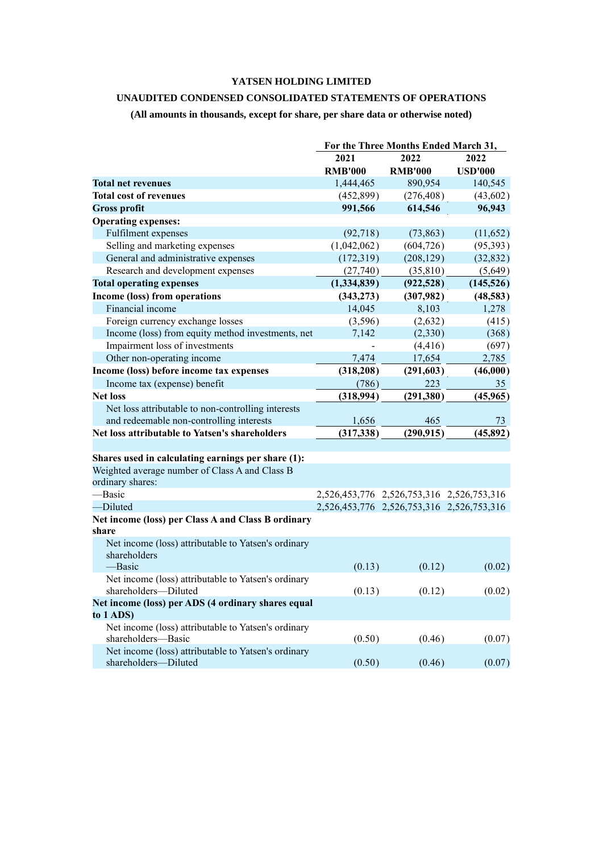# **YATSEN HOLDING LIMITED**

## **UNAUDITED CONDENSED CONSOLIDATED STATEMENTS OF OPERATIONS**

# **(All amounts in thousands, except for share, per share data or otherwise noted)**

|                                                     | For the Three Months Ended March 31, |                                           |                |
|-----------------------------------------------------|--------------------------------------|-------------------------------------------|----------------|
|                                                     | 2021                                 | 2022                                      | 2022           |
|                                                     | <b>RMB'000</b>                       | <b>RMB'000</b>                            | <b>USD'000</b> |
| <b>Total net revenues</b>                           | 1,444,465                            | 890,954                                   | 140,545        |
| <b>Total cost of revenues</b>                       | (452,899)                            | (276, 408)                                | (43,602)       |
| <b>Gross profit</b>                                 | 991,566                              | 614,546                                   | 96,943         |
| <b>Operating expenses:</b>                          |                                      |                                           |                |
| Fulfilment expenses                                 | (92, 718)                            | (73, 863)                                 | (11, 652)      |
| Selling and marketing expenses                      | (1,042,062)                          | (604, 726)                                | (95, 393)      |
| General and administrative expenses                 | (172,319)                            | (208, 129)                                | (32, 832)      |
| Research and development expenses                   | (27,740)                             | (35, 810)                                 | (5,649)        |
| <b>Total operating expenses</b>                     | (1,334,839)                          | (922, 528)                                | (145, 526)     |
| Income (loss) from operations                       | (343, 273)                           | (307, 982)                                | (48, 583)      |
| Financial income                                    | 14,045                               | 8,103                                     | 1,278          |
| Foreign currency exchange losses                    | (3,596)                              | (2,632)                                   | (415)          |
| Income (loss) from equity method investments, net   | 7,142                                | (2,330)                                   | (368)          |
| Impairment loss of investments                      |                                      | (4, 416)                                  | (697)          |
| Other non-operating income                          | 7,474                                | 17,654                                    | 2,785          |
| Income (loss) before income tax expenses            | (318, 208)                           | (291, 603)                                | (46,000)       |
| Income tax (expense) benefit                        | (786)                                | 223                                       | 35             |
| <b>Net loss</b>                                     | (318,994)                            | (291,380)                                 | (45,965)       |
| Net loss attributable to non-controlling interests  |                                      |                                           |                |
| and redeemable non-controlling interests            | 1,656                                | 465                                       | 73             |
| Net loss attributable to Yatsen's shareholders      | (317, 338)                           | (290, 915)                                | (45,892)       |
|                                                     |                                      |                                           |                |
| Shares used in calculating earnings per share (1):  |                                      |                                           |                |
| Weighted average number of Class A and Class B      |                                      |                                           |                |
| ordinary shares:                                    |                                      |                                           |                |
| -Basic                                              |                                      | 2,526,453,776 2,526,753,316 2,526,753,316 |                |
| -Diluted                                            |                                      | 2,526,453,776 2,526,753,316 2,526,753,316 |                |
| Net income (loss) per Class A and Class B ordinary  |                                      |                                           |                |
| share                                               |                                      |                                           |                |
| Net income (loss) attributable to Yatsen's ordinary |                                      |                                           |                |
| shareholders                                        |                                      |                                           |                |
| -Basic                                              | (0.13)                               | (0.12)                                    | (0.02)         |
| Net income (loss) attributable to Yatsen's ordinary |                                      |                                           |                |
| shareholders-Diluted                                | (0.13)                               | (0.12)                                    | (0.02)         |
| Net income (loss) per ADS (4 ordinary shares equal  |                                      |                                           |                |
| to 1 ADS)                                           |                                      |                                           |                |
| Net income (loss) attributable to Yatsen's ordinary |                                      |                                           |                |
| shareholders-Basic                                  | (0.50)                               | (0.46)                                    | (0.07)         |
| Net income (loss) attributable to Yatsen's ordinary |                                      |                                           |                |
| shareholders-Diluted                                | (0.50)                               | (0.46)                                    | (0.07)         |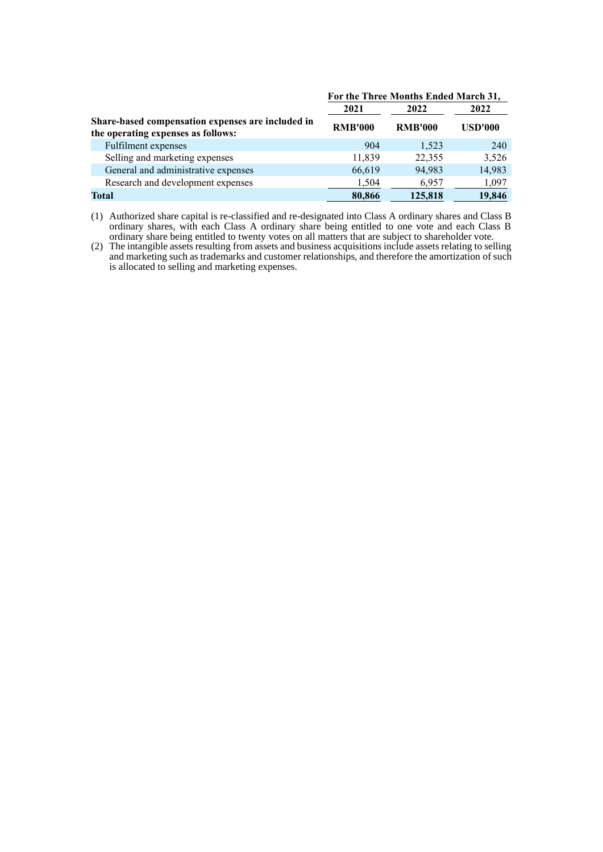|                                                                                         | For the Three Months Ended March 31, |                |                |
|-----------------------------------------------------------------------------------------|--------------------------------------|----------------|----------------|
|                                                                                         | 2021                                 | 2022           | 2022           |
| Share-based compensation expenses are included in<br>the operating expenses as follows: | <b>RMB'000</b>                       | <b>RMB'000</b> | <b>USD'000</b> |
| Fulfilment expenses                                                                     | 904                                  | 1,523          | 240            |
| Selling and marketing expenses                                                          | 11,839                               | 22,355         | 3,526          |
| General and administrative expenses                                                     | 66,619                               | 94,983         | 14,983         |
| Research and development expenses                                                       | 1,504                                | 6.957          | 1,097          |
| Total                                                                                   | 80,866                               | 125,818        | 19,846         |

(1) Authorized share capital is re-classified and re-designated into Class A ordinary shares and Class B ordinary shares, with each Class A ordinary share being entitled to one vote and each Class B ordinary share being entitled to twenty votes on all matters that are subject to shareholder vote.

(2) The intangible assets resulting from assets and business acquisitions include assets relating to selling and marketing such as trademarks and customer relationships, and therefore the amortization of such is allocated to selling and marketing expenses.